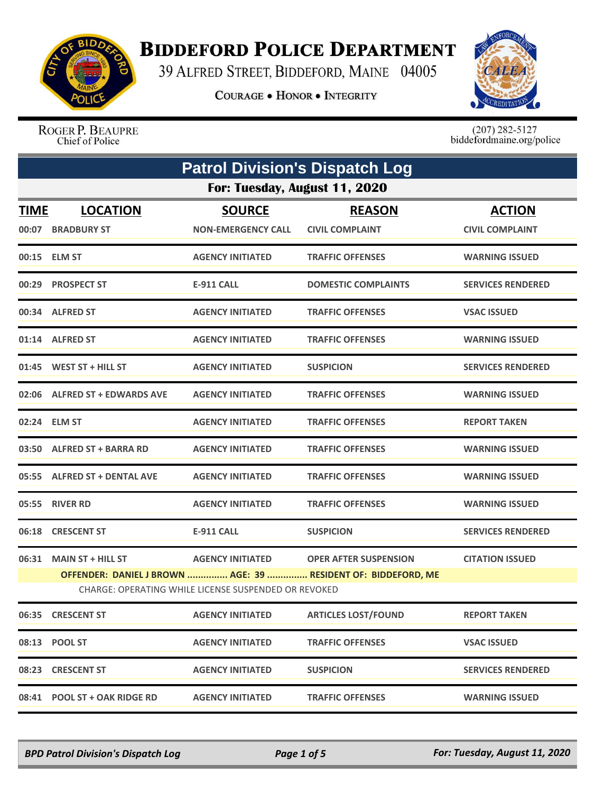

## **BIDDEFORD POLICE DEPARTMENT**

39 ALFRED STREET, BIDDEFORD, MAINE 04005

**COURAGE . HONOR . INTEGRITY** 



ROGER P. BEAUPRE Chief of Police

 $(207)$  282-5127<br>biddefordmaine.org/police

|             | <b>Patrol Division's Dispatch Log</b>                                                                                 |                                            |                                         |                                         |  |  |
|-------------|-----------------------------------------------------------------------------------------------------------------------|--------------------------------------------|-----------------------------------------|-----------------------------------------|--|--|
|             | For: Tuesday, August 11, 2020                                                                                         |                                            |                                         |                                         |  |  |
| <b>TIME</b> | <b>LOCATION</b><br>00:07 BRADBURY ST                                                                                  | <b>SOURCE</b><br><b>NON-EMERGENCY CALL</b> | <b>REASON</b><br><b>CIVIL COMPLAINT</b> | <b>ACTION</b><br><b>CIVIL COMPLAINT</b> |  |  |
|             | 00:15 ELM ST                                                                                                          | <b>AGENCY INITIATED</b>                    | <b>TRAFFIC OFFENSES</b>                 | <b>WARNING ISSUED</b>                   |  |  |
|             | 00:29 PROSPECT ST                                                                                                     | <b>E-911 CALL</b>                          | <b>DOMESTIC COMPLAINTS</b>              | <b>SERVICES RENDERED</b>                |  |  |
|             | 00:34 ALFRED ST                                                                                                       | <b>AGENCY INITIATED</b>                    | <b>TRAFFIC OFFENSES</b>                 | <b>VSAC ISSUED</b>                      |  |  |
|             | 01:14 ALFRED ST                                                                                                       | <b>AGENCY INITIATED</b>                    | <b>TRAFFIC OFFENSES</b>                 | <b>WARNING ISSUED</b>                   |  |  |
|             | $01:45$ WEST ST + HILL ST                                                                                             | <b>AGENCY INITIATED</b>                    | <b>SUSPICION</b>                        | <b>SERVICES RENDERED</b>                |  |  |
|             | 02:06 ALFRED ST + EDWARDS AVE                                                                                         | <b>AGENCY INITIATED</b>                    | <b>TRAFFIC OFFENSES</b>                 | <b>WARNING ISSUED</b>                   |  |  |
|             | 02:24 ELM ST                                                                                                          | <b>AGENCY INITIATED</b>                    | <b>TRAFFIC OFFENSES</b>                 | <b>REPORT TAKEN</b>                     |  |  |
|             | 03:50 ALFRED ST + BARRA RD                                                                                            | <b>AGENCY INITIATED</b>                    | <b>TRAFFIC OFFENSES</b>                 | <b>WARNING ISSUED</b>                   |  |  |
|             | 05:55 ALFRED ST + DENTAL AVE                                                                                          | <b>AGENCY INITIATED</b>                    | <b>TRAFFIC OFFENSES</b>                 | <b>WARNING ISSUED</b>                   |  |  |
|             | 05:55 RIVER RD                                                                                                        | <b>AGENCY INITIATED</b>                    | <b>TRAFFIC OFFENSES</b>                 | <b>WARNING ISSUED</b>                   |  |  |
| 06:18       | <b>CRESCENT ST</b>                                                                                                    | <b>E-911 CALL</b>                          | <b>SUSPICION</b>                        | <b>SERVICES RENDERED</b>                |  |  |
|             | 06:31 MAIN ST + HILL ST                                                                                               | <b>AGENCY INITIATED</b>                    | <b>OPER AFTER SUSPENSION</b>            | <b>CITATION ISSUED</b>                  |  |  |
|             | OFFENDER: DANIEL J BROWN  AGE: 39  RESIDENT OF: BIDDEFORD, ME<br>CHARGE: OPERATING WHILE LICENSE SUSPENDED OR REVOKED |                                            |                                         |                                         |  |  |
|             | 06:35 CRESCENT ST                                                                                                     | <b>AGENCY INITIATED</b>                    | <b>ARTICLES LOST/FOUND</b>              | <b>REPORT TAKEN</b>                     |  |  |
|             | 08:13 POOL ST                                                                                                         | <b>AGENCY INITIATED</b>                    | <b>TRAFFIC OFFENSES</b>                 | <b>VSAC ISSUED</b>                      |  |  |
|             | 08:23 CRESCENT ST                                                                                                     | <b>AGENCY INITIATED</b>                    | <b>SUSPICION</b>                        | <b>SERVICES RENDERED</b>                |  |  |
|             | 08:41 POOL ST + OAK RIDGE RD                                                                                          | <b>AGENCY INITIATED</b>                    | <b>TRAFFIC OFFENSES</b>                 | <b>WARNING ISSUED</b>                   |  |  |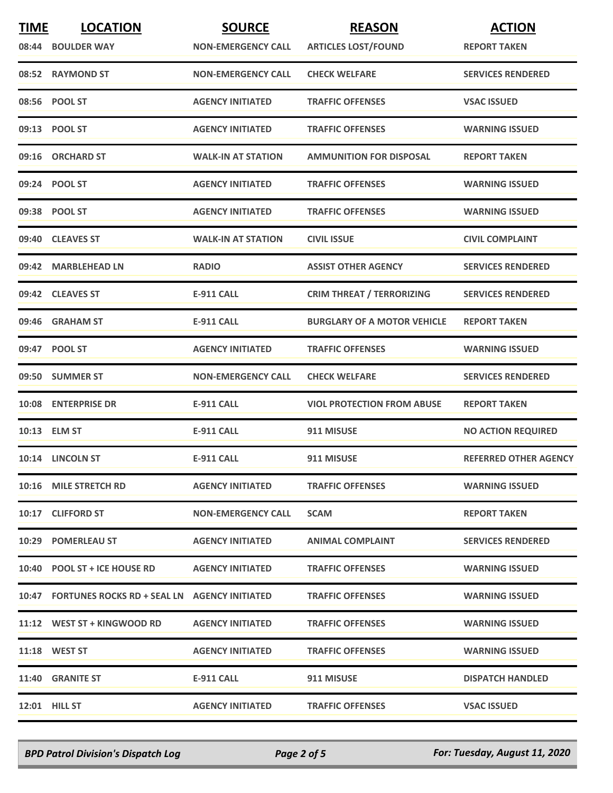| <b>TIME</b> | <b>LOCATION</b>                                    | <b>SOURCE</b>             | <b>REASON</b>                      | <b>ACTION</b>                |
|-------------|----------------------------------------------------|---------------------------|------------------------------------|------------------------------|
|             | 08:44 BOULDER WAY                                  | <b>NON-EMERGENCY CALL</b> | <b>ARTICLES LOST/FOUND</b>         | <b>REPORT TAKEN</b>          |
|             | 08:52 RAYMOND ST                                   | <b>NON-EMERGENCY CALL</b> | <b>CHECK WELFARE</b>               | <b>SERVICES RENDERED</b>     |
|             | 08:56 POOL ST                                      | <b>AGENCY INITIATED</b>   | <b>TRAFFIC OFFENSES</b>            | <b>VSAC ISSUED</b>           |
|             | 09:13 POOL ST                                      | <b>AGENCY INITIATED</b>   | <b>TRAFFIC OFFENSES</b>            | <b>WARNING ISSUED</b>        |
|             | 09:16 ORCHARD ST                                   | <b>WALK-IN AT STATION</b> | <b>AMMUNITION FOR DISPOSAL</b>     | <b>REPORT TAKEN</b>          |
|             | 09:24 POOL ST                                      | <b>AGENCY INITIATED</b>   | <b>TRAFFIC OFFENSES</b>            | <b>WARNING ISSUED</b>        |
|             | 09:38 POOL ST                                      | <b>AGENCY INITIATED</b>   | <b>TRAFFIC OFFENSES</b>            | <b>WARNING ISSUED</b>        |
|             | 09:40 CLEAVES ST                                   | <b>WALK-IN AT STATION</b> | <b>CIVIL ISSUE</b>                 | <b>CIVIL COMPLAINT</b>       |
|             | 09:42 MARBLEHEAD LN                                | <b>RADIO</b>              | <b>ASSIST OTHER AGENCY</b>         | <b>SERVICES RENDERED</b>     |
|             | 09:42 CLEAVES ST                                   | <b>E-911 CALL</b>         | <b>CRIM THREAT / TERRORIZING</b>   | <b>SERVICES RENDERED</b>     |
|             | 09:46 GRAHAM ST                                    | <b>E-911 CALL</b>         | <b>BURGLARY OF A MOTOR VEHICLE</b> | <b>REPORT TAKEN</b>          |
|             | 09:47 POOL ST                                      | <b>AGENCY INITIATED</b>   | <b>TRAFFIC OFFENSES</b>            | <b>WARNING ISSUED</b>        |
|             | 09:50 SUMMER ST                                    | <b>NON-EMERGENCY CALL</b> | <b>CHECK WELFARE</b>               | <b>SERVICES RENDERED</b>     |
|             | 10:08 ENTERPRISE DR                                | <b>E-911 CALL</b>         | <b>VIOL PROTECTION FROM ABUSE</b>  | <b>REPORT TAKEN</b>          |
|             | 10:13 ELM ST                                       | <b>E-911 CALL</b>         | 911 MISUSE                         | <b>NO ACTION REQUIRED</b>    |
|             | 10:14 LINCOLN ST                                   | <b>E-911 CALL</b>         | 911 MISUSE                         | <b>REFERRED OTHER AGENCY</b> |
|             | 10:16 MILE STRETCH RD                              | <b>AGENCY INITIATED</b>   | <b>TRAFFIC OFFENSES</b>            | <b>WARNING ISSUED</b>        |
|             | 10:17 CLIFFORD ST                                  | <b>NON-EMERGENCY CALL</b> | <b>SCAM</b>                        | <b>REPORT TAKEN</b>          |
|             | 10:29 POMERLEAU ST                                 | <b>AGENCY INITIATED</b>   | <b>ANIMAL COMPLAINT</b>            | <b>SERVICES RENDERED</b>     |
|             | 10:40 POOL ST + ICE HOUSE RD                       | <b>AGENCY INITIATED</b>   | <b>TRAFFIC OFFENSES</b>            | <b>WARNING ISSUED</b>        |
|             | 10:47 FORTUNES ROCKS RD + SEAL LN AGENCY INITIATED |                           | <b>TRAFFIC OFFENSES</b>            | <b>WARNING ISSUED</b>        |
|             | 11:12 WEST ST + KINGWOOD RD                        | <b>AGENCY INITIATED</b>   | <b>TRAFFIC OFFENSES</b>            | <b>WARNING ISSUED</b>        |
|             | <b>11:18 WEST ST</b>                               | <b>AGENCY INITIATED</b>   | <b>TRAFFIC OFFENSES</b>            | <b>WARNING ISSUED</b>        |
|             | 11:40 GRANITE ST                                   | <b>E-911 CALL</b>         | 911 MISUSE                         | <b>DISPATCH HANDLED</b>      |
|             | <b>12:01 HILL ST</b>                               | <b>AGENCY INITIATED</b>   | <b>TRAFFIC OFFENSES</b>            | <b>VSAC ISSUED</b>           |

*BPD Patrol Division's Dispatch Log Page 2 of 5 For: Tuesday, August 11, 2020*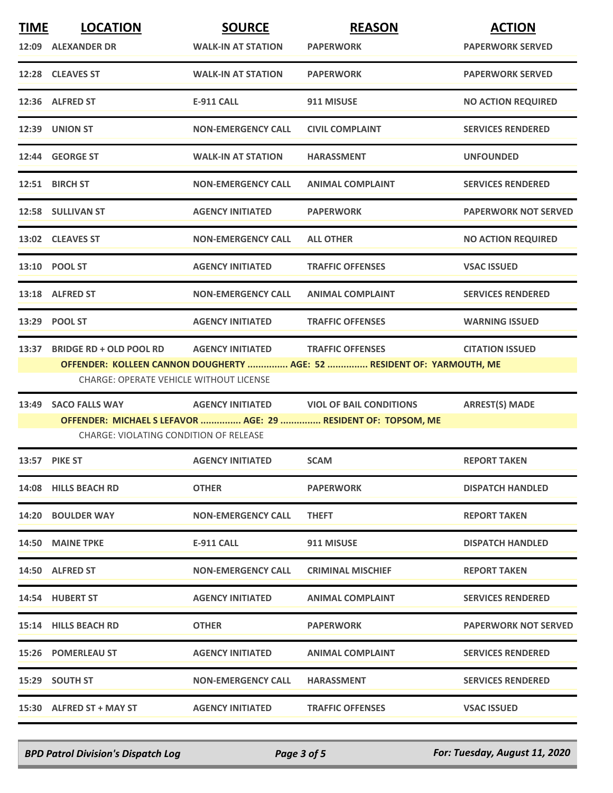| <b>TIME</b> | <b>LOCATION</b><br>12:09 ALEXANDER DR                                            | <b>SOURCE</b><br><b>WALK-IN AT STATION</b> | <b>REASON</b><br><b>PAPERWORK</b>                                                                 | <b>ACTION</b><br><b>PAPERWORK SERVED</b> |
|-------------|----------------------------------------------------------------------------------|--------------------------------------------|---------------------------------------------------------------------------------------------------|------------------------------------------|
|             | 12:28 CLEAVES ST                                                                 | <b>WALK-IN AT STATION</b>                  | <b>PAPERWORK</b>                                                                                  | <b>PAPERWORK SERVED</b>                  |
|             | 12:36 ALFRED ST                                                                  | <b>E-911 CALL</b>                          | 911 MISUSE                                                                                        | <b>NO ACTION REQUIRED</b>                |
|             | 12:39 UNION ST                                                                   | <b>NON-EMERGENCY CALL</b>                  | <b>CIVIL COMPLAINT</b>                                                                            | <b>SERVICES RENDERED</b>                 |
|             | 12:44 GEORGE ST                                                                  | <b>WALK-IN AT STATION</b>                  | <b>HARASSMENT</b>                                                                                 | <b>UNFOUNDED</b>                         |
|             | 12:51 BIRCH ST                                                                   | <b>NON-EMERGENCY CALL</b>                  | <b>ANIMAL COMPLAINT</b>                                                                           | <b>SERVICES RENDERED</b>                 |
|             | 12:58 SULLIVAN ST                                                                | <b>AGENCY INITIATED</b>                    | <b>PAPERWORK</b>                                                                                  | <b>PAPERWORK NOT SERVED</b>              |
|             | 13:02 CLEAVES ST                                                                 | <b>NON-EMERGENCY CALL</b>                  | <b>ALL OTHER</b>                                                                                  | <b>NO ACTION REQUIRED</b>                |
|             | 13:10 POOL ST                                                                    | <b>AGENCY INITIATED</b>                    | <b>TRAFFIC OFFENSES</b>                                                                           | <b>VSAC ISSUED</b>                       |
|             | 13:18 ALFRED ST                                                                  | <b>NON-EMERGENCY CALL</b>                  | <b>ANIMAL COMPLAINT</b>                                                                           | <b>SERVICES RENDERED</b>                 |
|             | 13:29 POOL ST                                                                    | <b>AGENCY INITIATED</b>                    | <b>TRAFFIC OFFENSES</b>                                                                           | <b>WARNING ISSUED</b>                    |
| 13:37       | <b>BRIDGE RD + OLD POOL RD</b><br><b>CHARGE: OPERATE VEHICLE WITHOUT LICENSE</b> | <b>AGENCY INITIATED</b>                    | <b>TRAFFIC OFFENSES</b><br>OFFENDER: KOLLEEN CANNON DOUGHERTY  AGE: 52  RESIDENT OF: YARMOUTH, ME | <b>CITATION ISSUED</b>                   |
| 13:49       | <b>SACO FALLS WAY</b><br><b>CHARGE: VIOLATING CONDITION OF RELEASE</b>           | <b>AGENCY INITIATED</b>                    | <b>VIOL OF BAIL CONDITIONS</b><br>OFFENDER: MICHAEL S LEFAVOR  AGE: 29  RESIDENT OF: TOPSOM, ME   | <b>ARREST(S) MADE</b>                    |
|             | 13:57 PIKE ST                                                                    | <b>AGENCY INITIATED</b>                    | <b>SCAM</b>                                                                                       | <b>REPORT TAKEN</b>                      |
|             | 14:08 HILLS BEACH RD                                                             | <b>OTHER</b>                               | <b>PAPERWORK</b>                                                                                  | <b>DISPATCH HANDLED</b>                  |
|             | 14:20 BOULDER WAY                                                                | <b>NON-EMERGENCY CALL</b>                  | <b>THEFT</b>                                                                                      | <b>REPORT TAKEN</b>                      |
|             | 14:50 MAINE TPKE                                                                 | E-911 CALL                                 | 911 MISUSE                                                                                        | <b>DISPATCH HANDLED</b>                  |
|             | 14:50 ALFRED ST                                                                  | <b>NON-EMERGENCY CALL</b>                  | <b>CRIMINAL MISCHIEF</b>                                                                          | <b>REPORT TAKEN</b>                      |
|             | 14:54 HUBERT ST                                                                  | <b>AGENCY INITIATED</b>                    | <b>ANIMAL COMPLAINT</b>                                                                           | <b>SERVICES RENDERED</b>                 |
|             | 15:14 HILLS BEACH RD                                                             | <b>OTHER</b>                               | <b>PAPERWORK</b>                                                                                  | <b>PAPERWORK NOT SERVED</b>              |
|             | <b>15:26 POMERLEAU ST</b>                                                        | <b>AGENCY INITIATED</b>                    | <b>ANIMAL COMPLAINT</b>                                                                           | <b>SERVICES RENDERED</b>                 |
|             | 15:29 SOUTH ST                                                                   | <b>NON-EMERGENCY CALL</b>                  | <b>HARASSMENT</b>                                                                                 | <b>SERVICES RENDERED</b>                 |
|             | 15:30 ALFRED ST + MAY ST                                                         | <b>AGENCY INITIATED</b>                    | <b>TRAFFIC OFFENSES</b>                                                                           | <b>VSAC ISSUED</b>                       |

*BPD Patrol Division's Dispatch Log Page 3 of 5 For: Tuesday, August 11, 2020*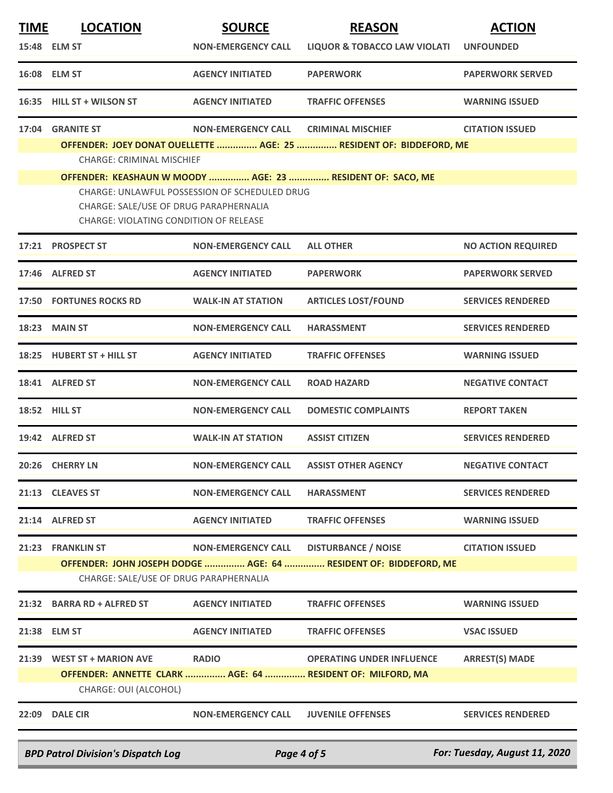| <b>TIME</b> | <b>LOCATION</b>                                                                                                                   | <b>SOURCE</b>             | <b>REASON</b>                                                                                  | <b>ACTION</b>                 |  |
|-------------|-----------------------------------------------------------------------------------------------------------------------------------|---------------------------|------------------------------------------------------------------------------------------------|-------------------------------|--|
|             | 15:48 ELM ST                                                                                                                      | <b>NON-EMERGENCY CALL</b> | <b>LIQUOR &amp; TOBACCO LAW VIOLATI</b>                                                        | <b>UNFOUNDED</b>              |  |
|             | 16:08 ELM ST                                                                                                                      | <b>AGENCY INITIATED</b>   | <b>PAPERWORK</b>                                                                               | <b>PAPERWORK SERVED</b>       |  |
|             | 16:35 HILL ST + WILSON ST                                                                                                         | <b>AGENCY INITIATED</b>   | <b>TRAFFIC OFFENSES</b>                                                                        | <b>WARNING ISSUED</b>         |  |
| 17:04       | <b>GRANITE ST</b>                                                                                                                 | <b>NON-EMERGENCY CALL</b> | <b>CRIMINAL MISCHIEF</b>                                                                       | <b>CITATION ISSUED</b>        |  |
|             | <b>CHARGE: CRIMINAL MISCHIEF</b>                                                                                                  |                           | OFFENDER: JOEY DONAT OUELLETTE  AGE: 25  RESIDENT OF: BIDDEFORD, ME                            |                               |  |
|             |                                                                                                                                   |                           | OFFENDER: KEASHAUN W MOODY  AGE: 23  RESIDENT OF: SACO, ME                                     |                               |  |
|             | CHARGE: UNLAWFUL POSSESSION OF SCHEDULED DRUG<br>CHARGE: SALE/USE OF DRUG PARAPHERNALIA<br>CHARGE: VIOLATING CONDITION OF RELEASE |                           |                                                                                                |                               |  |
|             | 17:21 PROSPECT ST                                                                                                                 | <b>NON-EMERGENCY CALL</b> | <b>ALL OTHER</b>                                                                               | <b>NO ACTION REQUIRED</b>     |  |
|             | 17:46 ALFRED ST                                                                                                                   | <b>AGENCY INITIATED</b>   | <b>PAPERWORK</b>                                                                               | <b>PAPERWORK SERVED</b>       |  |
|             | <b>17:50 FORTUNES ROCKS RD</b>                                                                                                    | <b>WALK-IN AT STATION</b> | <b>ARTICLES LOST/FOUND</b>                                                                     | <b>SERVICES RENDERED</b>      |  |
|             | 18:23 MAIN ST                                                                                                                     | <b>NON-EMERGENCY CALL</b> | <b>HARASSMENT</b>                                                                              | <b>SERVICES RENDERED</b>      |  |
|             | 18:25 HUBERT ST + HILL ST                                                                                                         | <b>AGENCY INITIATED</b>   | <b>TRAFFIC OFFENSES</b>                                                                        | <b>WARNING ISSUED</b>         |  |
|             | 18:41 ALFRED ST                                                                                                                   | <b>NON-EMERGENCY CALL</b> | <b>ROAD HAZARD</b>                                                                             | <b>NEGATIVE CONTACT</b>       |  |
|             | <b>18:52 HILL ST</b>                                                                                                              | <b>NON-EMERGENCY CALL</b> | <b>DOMESTIC COMPLAINTS</b>                                                                     | <b>REPORT TAKEN</b>           |  |
|             | 19:42 ALFRED ST                                                                                                                   | <b>WALK-IN AT STATION</b> | <b>ASSIST CITIZEN</b>                                                                          | <b>SERVICES RENDERED</b>      |  |
|             | 20:26 CHERRY LN                                                                                                                   | <b>NON-EMERGENCY CALL</b> | <b>ASSIST OTHER AGENCY</b>                                                                     | <b>NEGATIVE CONTACT</b>       |  |
|             | 21:13 CLEAVES ST                                                                                                                  | <b>NON-EMERGENCY CALL</b> | <b>HARASSMENT</b>                                                                              | <b>SERVICES RENDERED</b>      |  |
|             | 21:14 ALFRED ST                                                                                                                   | <b>AGENCY INITIATED</b>   | <b>TRAFFIC OFFENSES</b>                                                                        | <b>WARNING ISSUED</b>         |  |
|             | 21:23 FRANKLIN ST                                                                                                                 | <b>NON-EMERGENCY CALL</b> | <b>DISTURBANCE / NOISE</b>                                                                     | <b>CITATION ISSUED</b>        |  |
|             | OFFENDER: JOHN JOSEPH DODGE  AGE: 64  RESIDENT OF: BIDDEFORD, ME<br>CHARGE: SALE/USE OF DRUG PARAPHERNALIA                        |                           |                                                                                                |                               |  |
|             | 21:32 BARRA RD + ALFRED ST                                                                                                        | <b>AGENCY INITIATED</b>   | <b>TRAFFIC OFFENSES</b>                                                                        | <b>WARNING ISSUED</b>         |  |
|             | 21:38 ELM ST                                                                                                                      | <b>AGENCY INITIATED</b>   | <b>TRAFFIC OFFENSES</b>                                                                        | <b>VSAC ISSUED</b>            |  |
| 21:39       | <b>WEST ST + MARION AVE</b><br>CHARGE: OUI (ALCOHOL)                                                                              | <b>RADIO</b>              | <b>OPERATING UNDER INFLUENCE</b><br>OFFENDER: ANNETTE CLARK  AGE: 64  RESIDENT OF: MILFORD, MA | <b>ARREST(S) MADE</b>         |  |
|             | 22:09 DALE CIR                                                                                                                    | <b>NON-EMERGENCY CALL</b> | <b>JUVENILE OFFENSES</b>                                                                       | <b>SERVICES RENDERED</b>      |  |
|             | <b>BPD Patrol Division's Dispatch Log</b>                                                                                         |                           | Page 4 of 5                                                                                    | For: Tuesday, August 11, 2020 |  |